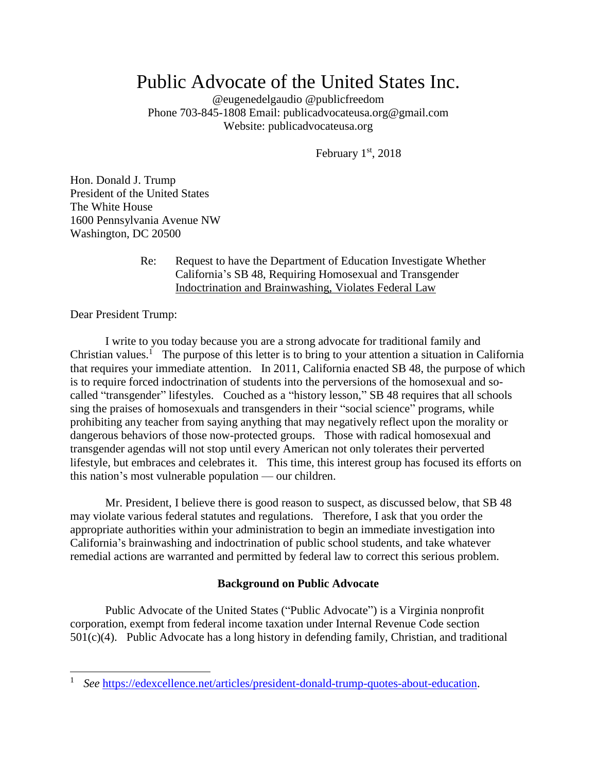# Public Advocate of the United States Inc.

@eugenedelgaudio @publicfreedom Phone 703-845-1808 Email: publicadvocateusa.org@gmail.com Website: publicadvocateusa.org

February 1st, 2018

Hon. Donald J. Trump President of the United States The White House 1600 Pennsylvania Avenue NW Washington, DC 20500

> Re: Request to have the Department of Education Investigate Whether California's SB 48, Requiring Homosexual and Transgender Indoctrination and Brainwashing, Violates Federal Law

Dear President Trump:

l

I write to you today because you are a strong advocate for traditional family and Christian values.<sup>1</sup> The purpose of this letter is to bring to your attention a situation in California that requires your immediate attention. In 2011, California enacted SB 48, the purpose of which is to require forced indoctrination of students into the perversions of the homosexual and socalled "transgender" lifestyles. Couched as a "history lesson," SB 48 requires that all schools sing the praises of homosexuals and transgenders in their "social science" programs, while prohibiting any teacher from saying anything that may negatively reflect upon the morality or dangerous behaviors of those now-protected groups. Those with radical homosexual and transgender agendas will not stop until every American not only tolerates their perverted lifestyle, but embraces and celebrates it. This time, this interest group has focused its efforts on this nation's most vulnerable population — our children.

Mr. President, I believe there is good reason to suspect, as discussed below, that SB 48 may violate various federal statutes and regulations. Therefore, I ask that you order the appropriate authorities within your administration to begin an immediate investigation into California's brainwashing and indoctrination of public school students, and take whatever remedial actions are warranted and permitted by federal law to correct this serious problem.

## **Background on Public Advocate**

Public Advocate of the United States ("Public Advocate") is a Virginia nonprofit corporation, exempt from federal income taxation under Internal Revenue Code section 501(c)(4). Public Advocate has a long history in defending family, Christian, and traditional

<sup>1</sup> *See* [https://edexcellence.net/articles/president-donald-trump-quotes-about-education.](https://edexcellence.net/articles/president-donald-trump-quotes-about-education)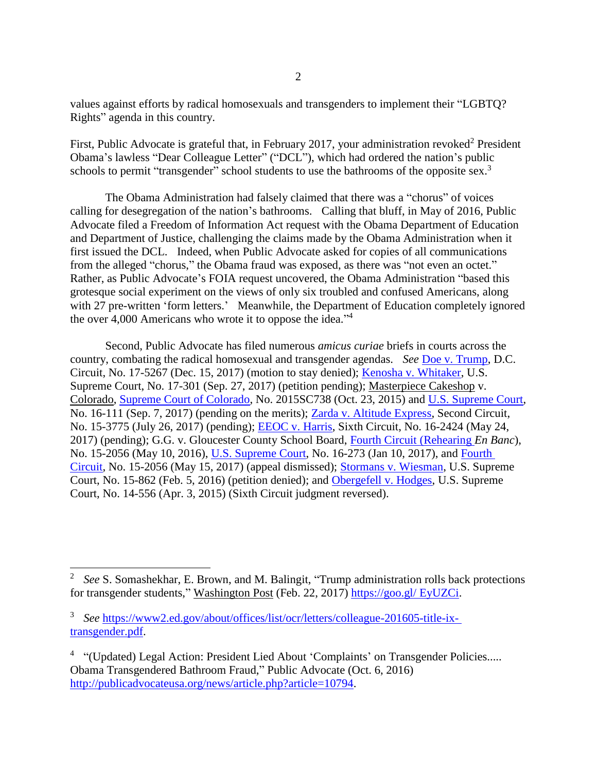values against efforts by radical homosexuals and transgenders to implement their "LGBTQ? Rights" agenda in this country.

First, Public Advocate is grateful that, in February 2017, your administration revoked<sup>2</sup> President Obama's lawless "Dear Colleague Letter" ("DCL"), which had ordered the nation's public schools to permit "transgender" school students to use the bathrooms of the opposite sex.<sup>3</sup>

The Obama Administration had falsely claimed that there was a "chorus" of voices calling for desegregation of the nation's bathrooms. Calling that bluff, in May of 2016, Public Advocate filed a Freedom of Information Act request with the Obama Department of Education and Department of Justice, challenging the claims made by the Obama Administration when it first issued the DCL. Indeed, when Public Advocate asked for copies of all communications from the alleged "chorus," the Obama fraud was exposed, as there was "not even an octet." Rather, as Public Advocate's FOIA request uncovered, the Obama Administration "based this grotesque social experiment on the views of only six troubled and confused Americans, along with 27 pre-written 'form letters.' Meanwhile, the Department of Education completely ignored the over 4,000 Americans who wrote it to oppose the idea."<sup>4</sup>

Second, Public Advocate has filed numerous *amicus curiae* briefs in courts across the country, combating the radical homosexual and transgender agendas. *See* [Doe v. Trump,](http://lawandfreedom.com/wordpress/wp-content/uploads/2018/01/Doe-v-Trump-Amicus-Brief-as-filed.pdf) D.C. Circuit, No. 17-5267 (Dec. 15, 2017) (motion to stay denied); [Kenosha v. Whitaker,](http://lawandfreedom.com/wordpress/wp-content/uploads/2017/09/Kenosha-amicus-brief.pdf) U.S. Supreme Court, No. 17-301 (Sep. 27, 2017) (petition pending); Masterpiece Cakeshop v. Colorado, [Supreme Court of Colorado,](http://www.lawandfreedom.com/site/constitutional/Brief%20in%20Support%20of%20Cert.%20--%20final.pdf) No. 2015SC738 (Oct. 23, 2015) and [U.S. Supreme Court,](http://www.publicadvocateusa.org/library/Masterpiece_SCOTUS_Amicus_Brief_Sept-7_2017.pdf) No. 16-111 (Sep. 7, 2017) (pending on the merits); [Zarda v. Altitude Express,](http://www.publicadvocateusa.org/library/Zarda_Amicus_Brief.pdf) Second Circuit, No. 15-3775 (July 26, 2017) (pending); [EEOC v. Harris,](http://lawandfreedom.com/wordpress/wp-content/uploads/2017/05/EEOC-v-Harris-amicus-brief.pdf) Sixth Circuit, No. 16-2424 (May 24, 2017) (pending); G.G. v. Gloucester County School Board, [Fourth Circuit \(Rehearing](http://lawandfreedom.com/wordpress/wp-content/uploads/2016/05/Gloucester-amicus-brief.pdf) *En Banc*), No. 15-2056 (May 10, 2016), [U.S. Supreme Court,](http://lawandfreedom.com/wordpress/wp-content/uploads/2017/01/Gloucester-Amicus-Brief-final.pdf) No. 16-273 (Jan 10, 2017), and [Fourth](http://lawandfreedom.com/wordpress/wp-content/uploads/2017/05/Gloucester-Supplemental-Amicus-Brief.pdf)  [Circuit,](http://lawandfreedom.com/wordpress/wp-content/uploads/2017/05/Gloucester-Supplemental-Amicus-Brief.pdf) No. 15-2056 (May 15, 2017) (appeal dismissed); [Stormans v. Wiesman,](http://www.publicadvocateusa.org/library/Stormans_Public_Advocate_amicus_brief.pdf) U.S. Supreme Court, No. 15-862 (Feb. 5, 2016) (petition denied); and [Obergefell v. Hodges,](http://www.lawandfreedom.com/site/constitutional/DeBoer%20Public%20Advocate%20amicus%20brief2.pdf) U.S. Supreme Court, No. 14-556 (Apr. 3, 2015) (Sixth Circuit judgment reversed).

 $\overline{a}$ 

<sup>&</sup>lt;sup>2</sup> See S. Somashekhar, E. Brown, and M. Balingit, "Trump administration rolls back protections for transgender students," Washington Post (Feb. 22, 2017) [https://goo.gl/ EyUZCi.](https://goo.gl/EyUZCi)

<sup>3</sup> *See* [https://www2.ed.gov/about/offices/list/ocr/letters/colleague-201605-title-ix](https://www2.ed.gov/about/offices/list/ocr/letters/colleague-201605-title-ix-transgender.pdf)[transgender.pdf.](https://www2.ed.gov/about/offices/list/ocr/letters/colleague-201605-title-ix-transgender.pdf)

<sup>&</sup>lt;sup>4</sup> "(Updated) Legal Action: President Lied About 'Complaints' on Transgender Policies..... Obama Transgendered Bathroom Fraud," Public Advocate (Oct. 6, 2016) [http://publicadvocateusa.org/news/article.php?article=10794.](http://publicadvocateusa.org/news/article.php?article=10794)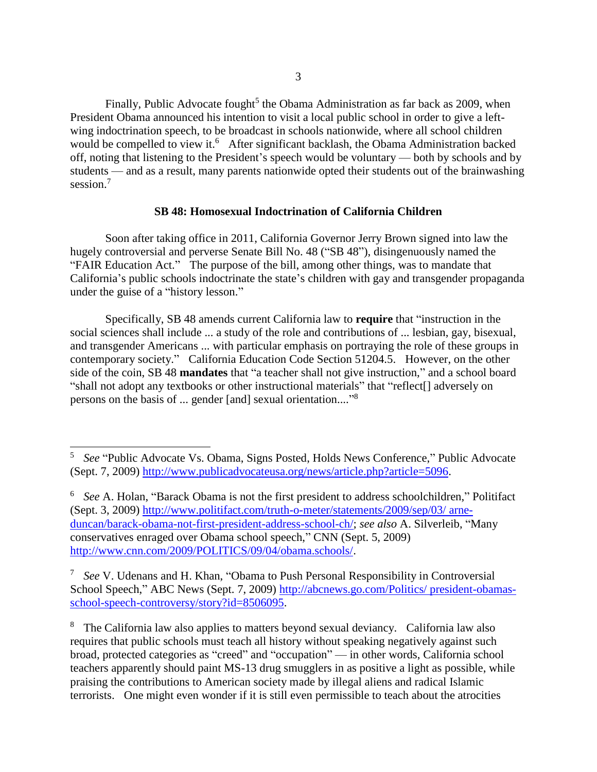Finally, Public Advocate fought<sup>5</sup> the Obama Administration as far back as 2009, when President Obama announced his intention to visit a local public school in order to give a leftwing indoctrination speech, to be broadcast in schools nationwide, where all school children would be compelled to view it.<sup>6</sup> After significant backlash, the Obama Administration backed off, noting that listening to the President's speech would be voluntary — both by schools and by students — and as a result, many parents nationwide opted their students out of the brainwashing session.<sup>7</sup>

#### **SB 48: Homosexual Indoctrination of California Children**

Soon after taking office in 2011, California Governor Jerry Brown signed into law the hugely controversial and perverse Senate Bill No. 48 ("SB 48"), disingenuously named the "FAIR Education Act." The purpose of the bill, among other things, was to mandate that California's public schools indoctrinate the state's children with gay and transgender propaganda under the guise of a "history lesson."

Specifically, SB 48 amends current California law to **require** that "instruction in the social sciences shall include ... a study of the role and contributions of ... lesbian, gay, bisexual, and transgender Americans ... with particular emphasis on portraying the role of these groups in contemporary society." California Education Code Section 51204.5. However, on the other side of the coin, SB 48 **mandates** that "a teacher shall not give instruction," and a school board "shall not adopt any textbooks or other instructional materials" that "reflect[] adversely on persons on the basis of ... gender [and] sexual orientation...."<sup>8</sup>

l

<sup>5</sup> *See* "Public Advocate Vs. Obama, Signs Posted, Holds News Conference," Public Advocate (Sept. 7, 2009) [http://www.publicadvocateusa.org/news/article.php?article=5096.](http://www.publicadvocateusa.org/news/article.php?article=5096)

<sup>6</sup> *See* A. Holan, "Barack Obama is not the first president to address schoolchildren," Politifact (Sept. 3, 2009) [http://www.politifact.com/truth-o-meter/statements/2009/sep/03/ arne](file:///C:/Users/Owner/AppData/Local/Temp/Barack%20Obama%20is%20not%20the%20first%20president%20to%20address%20schoolchildren)[duncan/barack-obama-not-first-president-address-school-ch/;](file:///C:/Users/Owner/AppData/Local/Temp/Barack%20Obama%20is%20not%20the%20first%20president%20to%20address%20schoolchildren) *see also* A. Silverleib, "Many conservatives enraged over Obama school speech," CNN (Sept. 5, 2009) [http://www.cnn.com/2009/POLITICS/09/04/obama.schools/.](http://www.cnn.com/2009/POLITICS/09/04/obama.schools/)

<sup>7</sup> *See* V. Udenans and H. Khan, "Obama to Push Personal Responsibility in Controversial School Speech," ABC News (Sept. 7, 2009) [http://abcnews.go.com/Politics/ president-obamas](http://abcnews.go.com/Politics/president-obamas-school-speech-controversy/story?id=8506095)[school-speech-controversy/story?id=8506095.](http://abcnews.go.com/Politics/president-obamas-school-speech-controversy/story?id=8506095)

<sup>&</sup>lt;sup>8</sup> The California law also applies to matters beyond sexual deviancy. California law also requires that public schools must teach all history without speaking negatively against such broad, protected categories as "creed" and "occupation" — in other words, California school teachers apparently should paint MS-13 drug smugglers in as positive a light as possible, while praising the contributions to American society made by illegal aliens and radical Islamic terrorists. One might even wonder if it is still even permissible to teach about the atrocities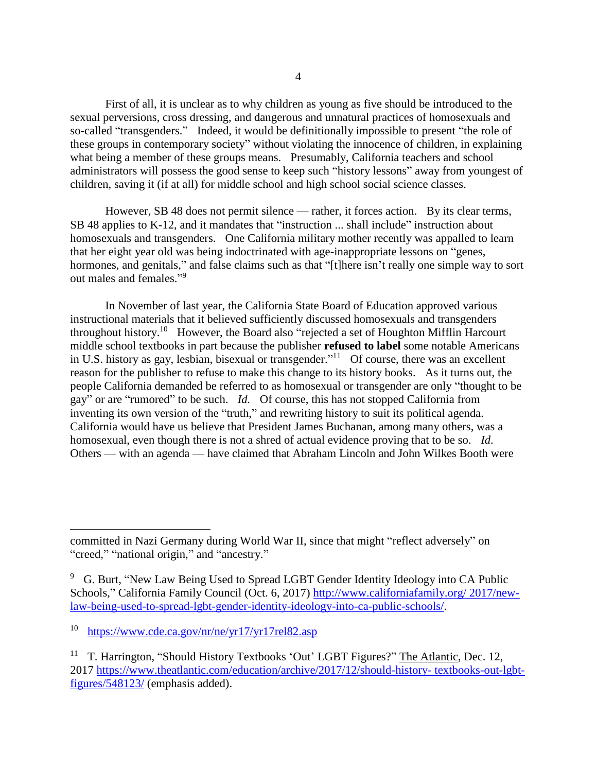First of all, it is unclear as to why children as young as five should be introduced to the sexual perversions, cross dressing, and dangerous and unnatural practices of homosexuals and so-called "transgenders." Indeed, it would be definitionally impossible to present "the role of these groups in contemporary society" without violating the innocence of children, in explaining what being a member of these groups means. Presumably, California teachers and school administrators will possess the good sense to keep such "history lessons" away from youngest of children, saving it (if at all) for middle school and high school social science classes.

However, SB 48 does not permit silence — rather, it forces action. By its clear terms, SB 48 applies to K-12, and it mandates that "instruction ... shall include" instruction about homosexuals and transgenders. One California military mother recently was appalled to learn that her eight year old was being indoctrinated with age-inappropriate lessons on "genes, hormones, and genitals," and false claims such as that "[t]here isn't really one simple way to sort out males and females."<sup>9</sup>

In November of last year, the California State Board of Education approved various instructional materials that it believed sufficiently discussed homosexuals and transgenders throughout history.<sup>10</sup> However, the Board also "rejected a set of Houghton Mifflin Harcourt middle school textbooks in part because the publisher **refused to label** some notable Americans in U.S. history as gay, lesbian, bisexual or transgender."<sup>11</sup> Of course, there was an excellent reason for the publisher to refuse to make this change to its history books. As it turns out, the people California demanded be referred to as homosexual or transgender are only "thought to be gay" or are "rumored" to be such. *Id.* Of course, this has not stopped California from inventing its own version of the "truth," and rewriting history to suit its political agenda. California would have us believe that President James Buchanan, among many others, was a homosexual, even though there is not a shred of actual evidence proving that to be so. *Id*. Others — with an agenda — have claimed that Abraham Lincoln and John Wilkes Booth were

 $\overline{a}$ 

committed in Nazi Germany during World War II, since that might "reflect adversely" on "creed," "national origin," and "ancestry."

<sup>&</sup>lt;sup>9</sup> G. Burt, "New Law Being Used to Spread LGBT Gender Identity Ideology into CA Public Schools," California Family Council (Oct. 6, 2017) [http://www.californiafamily.org/ 2017/new](http://www.californiafamily.org/2017/new-law-being-used-to-spread-lgbt-gender-identity-ideology-into-ca-public-schools/)[law-being-used-to-spread-lgbt-gender-identity-ideology-into-ca-public-schools/.](http://www.californiafamily.org/2017/new-law-being-used-to-spread-lgbt-gender-identity-ideology-into-ca-public-schools/)

<sup>10</sup> <https://www.cde.ca.gov/nr/ne/yr17/yr17rel82.asp>

<sup>11</sup> T. Harrington, "Should History Textbooks 'Out' LGBT Figures?" The Atlantic, Dec. 12, 2017 [https://www.theatlantic.com/education/archive/2017/12/should-history-](https://www.theatlantic.com/education/archive/2017/12/should-history-textbooks-out-lgbt-figures/548123/) textbooks-out-lgbt[figures/548123/](https://www.theatlantic.com/education/archive/2017/12/should-history-textbooks-out-lgbt-figures/548123/) (emphasis added).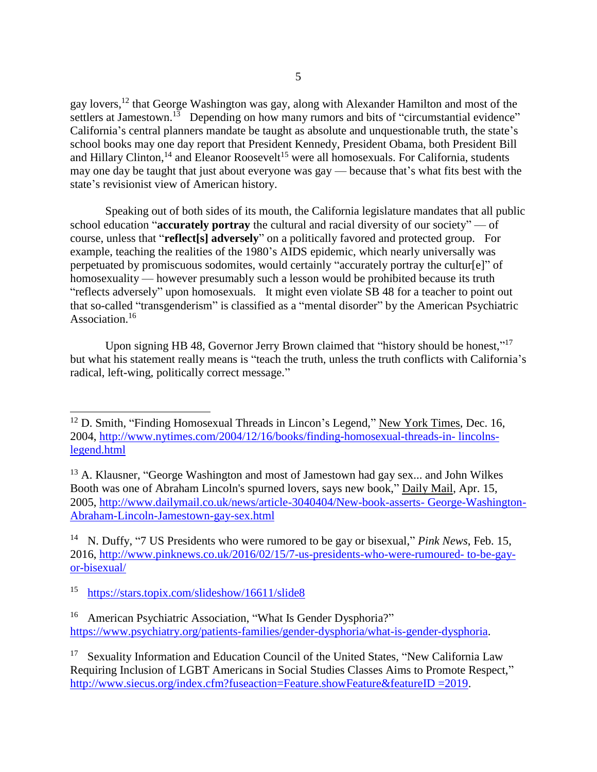gay lovers,<sup>12</sup> that George Washington was gay, along with Alexander Hamilton and most of the settlers at Jamestown.<sup>13</sup> Depending on how many rumors and bits of "circumstantial evidence" California's central planners mandate be taught as absolute and unquestionable truth, the state's school books may one day report that President Kennedy, President Obama, both President Bill and Hillary Clinton,<sup>14</sup> and Eleanor Roosevelt<sup>15</sup> were all homosexuals. For California, students may one day be taught that just about everyone was gay — because that's what fits best with the state's revisionist view of American history.

Speaking out of both sides of its mouth, the California legislature mandates that all public school education "**accurately portray** the cultural and racial diversity of our society" — of course, unless that "**reflect[s] adversely**" on a politically favored and protected group. For example, teaching the realities of the 1980's AIDS epidemic, which nearly universally was perpetuated by promiscuous sodomites, would certainly "accurately portray the cultur[e]" of homosexuality — however presumably such a lesson would be prohibited because its truth "reflects adversely" upon homosexuals. It might even violate SB 48 for a teacher to point out that so-called "transgenderism" is classified as a "mental disorder" by the American Psychiatric Association.<sup>16</sup>

Upon signing HB 48, Governor Jerry Brown claimed that "history should be honest,"<sup>17</sup> but what his statement really means is "teach the truth, unless the truth conflicts with California's radical, left-wing, politically correct message."

l

<sup>&</sup>lt;sup>12</sup> D. Smith, "Finding Homosexual Threads in Lincon's Legend," New York Times, Dec. 16, 2004, [http://www.nytimes.com/2004/12/16/books/finding-homosexual-threads-in-](http://www.nytimes.com/2004/12/16/books/finding-homosexual-threads-in-lincolns-legend.html) lincolns[legend.html](http://www.nytimes.com/2004/12/16/books/finding-homosexual-threads-in-lincolns-legend.html)

<sup>&</sup>lt;sup>13</sup> A. Klausner, "George Washington and most of Jamestown had gay sex... and John Wilkes Booth was one of Abraham Lincoln's spurned lovers, says new book," Daily Mail, Apr. 15, 2005, [http://www.dailymail.co.uk/news/article-3040404/New-book-asserts-](http://www.dailymail.co.uk/news/article-3040404/New-book-asserts-George-Washington-Abraham-Lincoln-Jamestown-gay-sex.html) George-Washington-[Abraham-Lincoln-Jamestown-gay-sex.html](http://www.dailymail.co.uk/news/article-3040404/New-book-asserts-George-Washington-Abraham-Lincoln-Jamestown-gay-sex.html)

<sup>&</sup>lt;sup>14</sup> N. Duffy, "7 US Presidents who were rumored to be gay or bisexual," *Pink News*, Feb. 15, 2016, [http://www.pinknews.co.uk/2016/02/15/7-us-presidents-who-were-rumoured-](http://www.pinknews.co.uk/2016/02/15/7-us-presidents-who-were-rumoured-to-be-gay-or-bisexual/) to-be-gay[or-bisexual/](http://www.pinknews.co.uk/2016/02/15/7-us-presidents-who-were-rumoured-to-be-gay-or-bisexual/)

<sup>15</sup> <https://stars.topix.com/slideshow/16611/slide8>

<sup>16</sup> American Psychiatric Association, "What Is Gender Dysphoria?" [https://www.psychiatry.org/patients-families/gender-dysphoria/what-is-gender-dysphoria.](https://www.psychiatry.org/patients-families/gender-dysphoria/what-is-gender-dysphoria)

<sup>&</sup>lt;sup>17</sup> Sexuality Information and Education Council of the United States, "New California Law Requiring Inclusion of LGBT Americans in Social Studies Classes Aims to Promote Respect," [http://www.siecus.org/index.cfm?fuseaction=Feature.showFeature&featureID =2019.](http://www.siecus.org/index.cfm?fuseaction=Feature.showFeature&featureID=2019)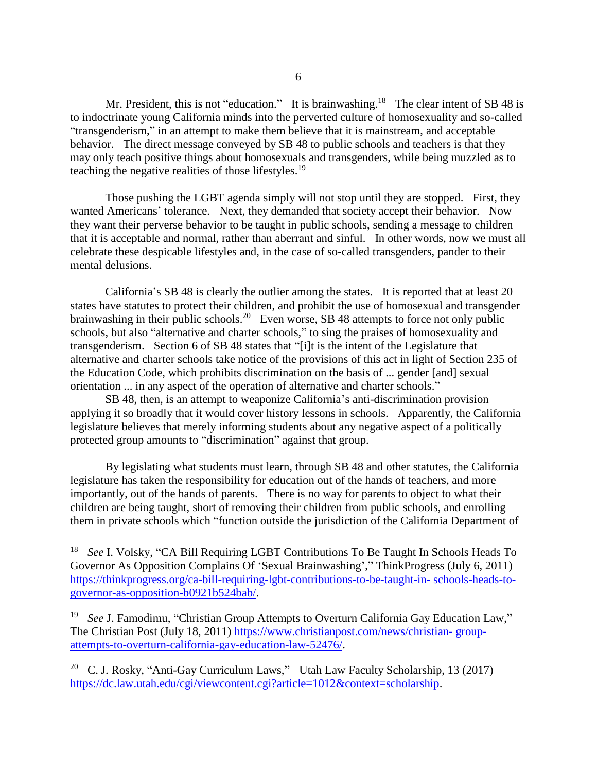Mr. President, this is not "education." It is brainwashing.<sup>18</sup> The clear intent of SB 48 is to indoctrinate young California minds into the perverted culture of homosexuality and so-called "transgenderism," in an attempt to make them believe that it is mainstream, and acceptable behavior. The direct message conveyed by SB 48 to public schools and teachers is that they may only teach positive things about homosexuals and transgenders, while being muzzled as to teaching the negative realities of those lifestyles.<sup>19</sup>

Those pushing the LGBT agenda simply will not stop until they are stopped. First, they wanted Americans' tolerance. Next, they demanded that society accept their behavior. Now they want their perverse behavior to be taught in public schools, sending a message to children that it is acceptable and normal, rather than aberrant and sinful. In other words, now we must all celebrate these despicable lifestyles and, in the case of so-called transgenders, pander to their mental delusions.

California's SB 48 is clearly the outlier among the states. It is reported that at least 20 states have statutes to protect their children, and prohibit the use of homosexual and transgender brainwashing in their public schools.<sup>20</sup> Even worse, SB 48 attempts to force not only public schools, but also "alternative and charter schools," to sing the praises of homosexuality and transgenderism. Section 6 of SB 48 states that "[i]t is the intent of the Legislature that alternative and charter schools take notice of the provisions of this act in light of Section 235 of the Education Code, which prohibits discrimination on the basis of ... gender [and] sexual orientation ... in any aspect of the operation of alternative and charter schools."

SB 48, then, is an attempt to weaponize California's anti-discrimination provision applying it so broadly that it would cover history lessons in schools. Apparently, the California legislature believes that merely informing students about any negative aspect of a politically protected group amounts to "discrimination" against that group.

By legislating what students must learn, through SB 48 and other statutes, the California legislature has taken the responsibility for education out of the hands of teachers, and more importantly, out of the hands of parents. There is no way for parents to object to what their children are being taught, short of removing their children from public schools, and enrolling them in private schools which "function outside the jurisdiction of the California Department of

 $\overline{a}$ 

<sup>20</sup> C. J. Rosky, "Anti-Gay Curriculum Laws," Utah Law Faculty Scholarship, 13 (2017) [https://dc.law.utah.edu/cgi/viewcontent.cgi?article=1012&context=scholarship.](https://dc.law.utah.edu/cgi/viewcontent.cgi?article=1012&context=scholarship)

<sup>18</sup> *See* I. Volsky, "CA Bill Requiring LGBT Contributions To Be Taught In Schools Heads To Governor As Opposition Complains Of 'Sexual Brainwashing'," ThinkProgress (July 6, 2011) [https://thinkprogress.org/ca-bill-requiring-lgbt-contributions-to-be-taught-in-](https://thinkprogress.org/ca-bill-requiring-lgbt-contributions-to-be-taught-in-schools-heads-to-governor-as-opposition-b0921b52) schools-heads-to[governor-as-opposition-b0921b524bab/.](https://thinkprogress.org/ca-bill-requiring-lgbt-contributions-to-be-taught-in-schools-heads-to-governor-as-opposition-b0921b52)

<sup>19</sup> *See* J. Famodimu, "Christian Group Attempts to Overturn California Gay Education Law," The Christian Post (July 18, 2011) [https://www.christianpost.com/news/christian-](https://www.christianpost.com/news/christian-group-attempts-to-overturn-california-gay-education-law-52476/) group[attempts-to-overturn-california-gay-education-law-52476/.](https://www.christianpost.com/news/christian-group-attempts-to-overturn-california-gay-education-law-52476/)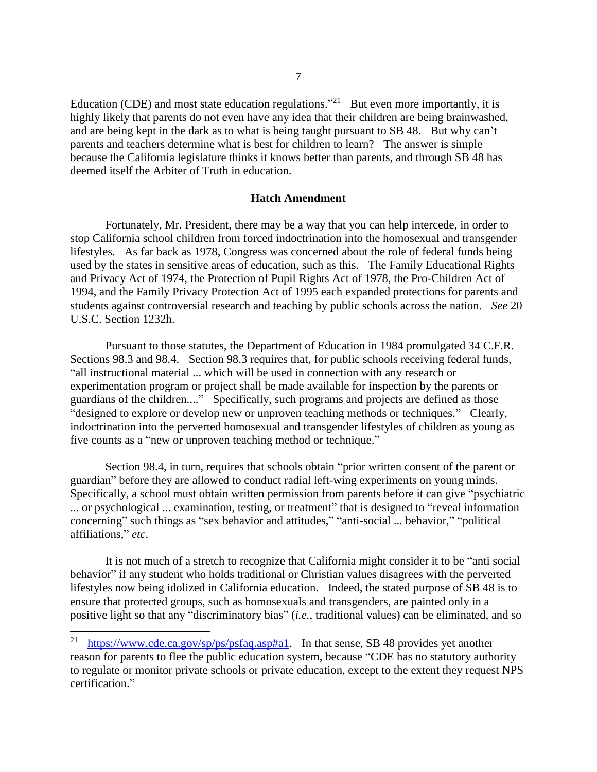Education (CDE) and most state education regulations.<sup>"21</sup> But even more importantly, it is highly likely that parents do not even have any idea that their children are being brainwashed, and are being kept in the dark as to what is being taught pursuant to SB 48. But why can't parents and teachers determine what is best for children to learn? The answer is simple because the California legislature thinks it knows better than parents, and through SB 48 has deemed itself the Arbiter of Truth in education.

### **Hatch Amendment**

Fortunately, Mr. President, there may be a way that you can help intercede, in order to stop California school children from forced indoctrination into the homosexual and transgender lifestyles. As far back as 1978, Congress was concerned about the role of federal funds being used by the states in sensitive areas of education, such as this. The Family Educational Rights and Privacy Act of 1974, the Protection of Pupil Rights Act of 1978, the Pro-Children Act of 1994, and the Family Privacy Protection Act of 1995 each expanded protections for parents and students against controversial research and teaching by public schools across the nation. *See* 20 U.S.C. Section 1232h.

Pursuant to those statutes, the Department of Education in 1984 promulgated 34 C.F.R. Sections 98.3 and 98.4. Section 98.3 requires that, for public schools receiving federal funds, "all instructional material ... which will be used in connection with any research or experimentation program or project shall be made available for inspection by the parents or guardians of the children...." Specifically, such programs and projects are defined as those "designed to explore or develop new or unproven teaching methods or techniques." Clearly, indoctrination into the perverted homosexual and transgender lifestyles of children as young as five counts as a "new or unproven teaching method or technique."

Section 98.4, in turn, requires that schools obtain "prior written consent of the parent or guardian" before they are allowed to conduct radial left-wing experiments on young minds. Specifically, a school must obtain written permission from parents before it can give "psychiatric ... or psychological ... examination, testing, or treatment" that is designed to "reveal information concerning" such things as "sex behavior and attitudes," "anti-social ... behavior," "political affiliations," *etc*.

It is not much of a stretch to recognize that California might consider it to be "anti social behavior" if any student who holds traditional or Christian values disagrees with the perverted lifestyles now being idolized in California education. Indeed, the stated purpose of SB 48 is to ensure that protected groups, such as homosexuals and transgenders, are painted only in a positive light so that any "discriminatory bias" (*i.e.*, traditional values) can be eliminated, and so

 $\overline{a}$ 

<sup>21</sup> [https://www.cde.ca.gov/sp/ps/psfaq.asp#a1.](https://www.cde.ca.gov/sp/ps/psfaq.asp#a1) In that sense, SB 48 provides yet another reason for parents to flee the public education system, because "CDE has no statutory authority to regulate or monitor private schools or private education, except to the extent they request NPS certification."